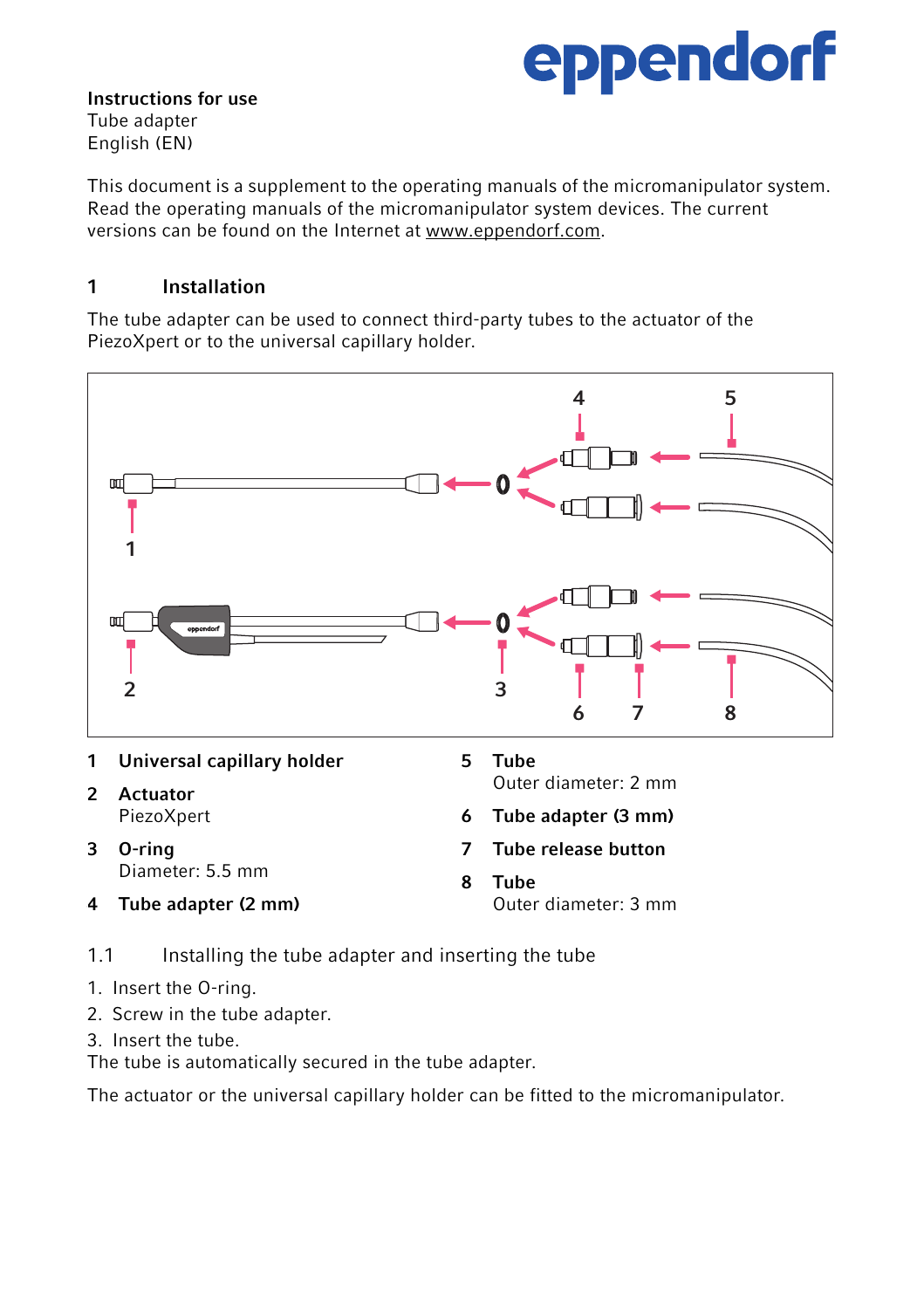# eppendorf

Instructions for use Tube adapter English (EN)

This document is a supplement to the operating manuals of the micromanipulator system. Read the operating manuals of the micromanipulator system devices. The current versions can be found on the Internet at www.eppendorf.com.

## 1 Installation

The tube adapter can be used to connect third-party tubes to the actuator of the PiezoXpert or to the universal capillary holder.



|   | 1 Universal capillary holder | 5 | Tube                  |
|---|------------------------------|---|-----------------------|
| 2 | Actuator                     |   | Outer diameter: 2 mm  |
|   | PiezoXpert                   |   | 6 Tube adapter (3 mm) |
| 3 | O-ring<br>Diameter: 5.5 mm   |   | 7 Tube release button |
|   |                              | 8 | Tube                  |
| 4 | Tube adapter (2 mm)          |   | Outer diameter: 3 mm  |

1.1 Installing the tube adapter and inserting the tube

- 1. Insert the O-ring.
- 2. Screw in the tube adapter.
- 3. Insert the tube.

The tube is automatically secured in the tube adapter.

The actuator or the universal capillary holder can be fitted to the micromanipulator.